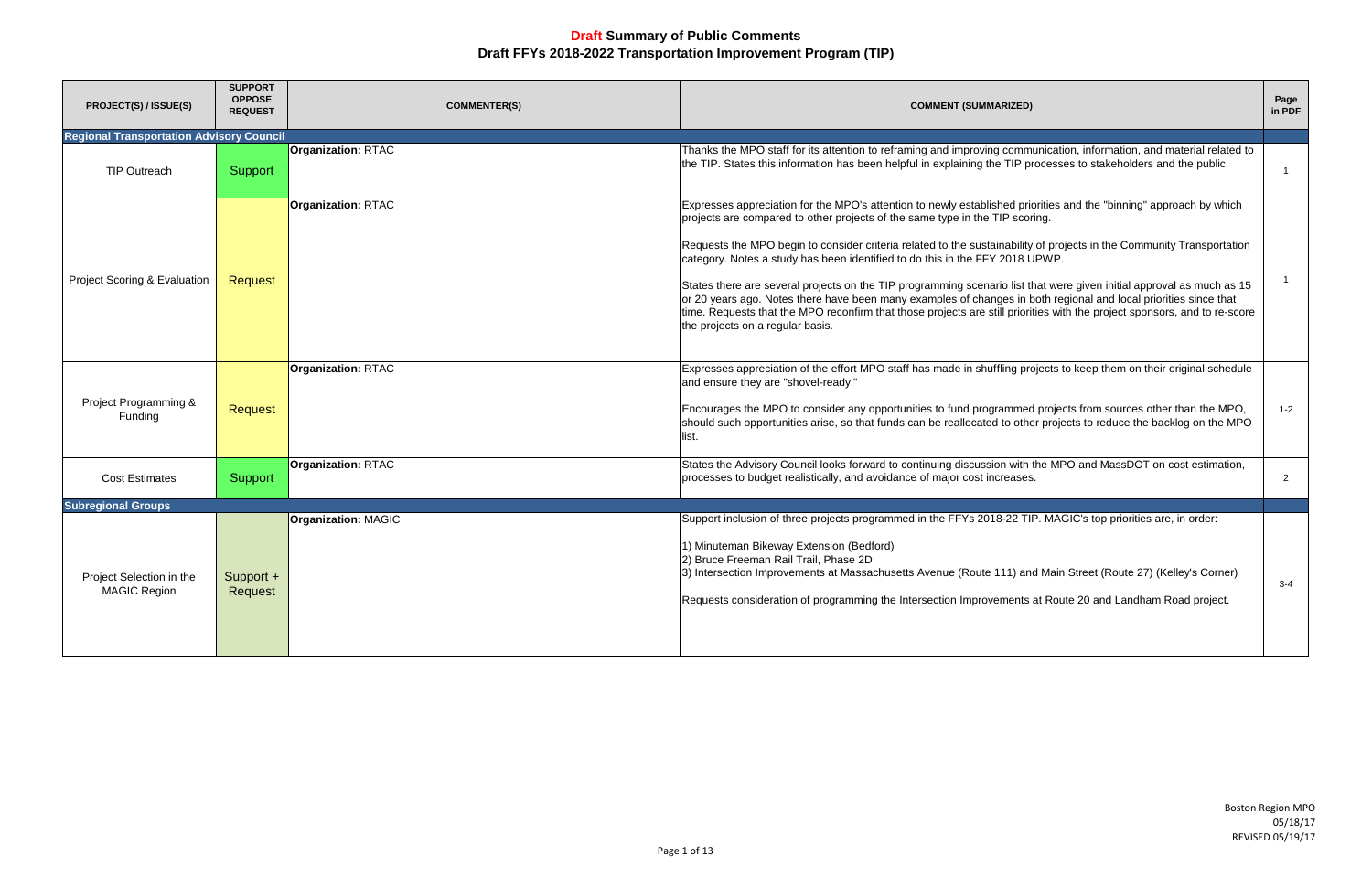Boston Region MPO 05/18/17 REVISED 05/19/17

| PROJECT(S) / ISSUE(S)                           | <b>SUPPORT</b><br><b>OPPOSE</b><br><b>REQUEST</b> | <b>COMMENTER(S)</b>        | <b>COMMENT (SUMMARIZED)</b>                                                                                                                                                                                                                                                                                                                                                                                                                                                                                                                                                                                                                                                                                                                                                                                               | Page<br>in PDF |
|-------------------------------------------------|---------------------------------------------------|----------------------------|---------------------------------------------------------------------------------------------------------------------------------------------------------------------------------------------------------------------------------------------------------------------------------------------------------------------------------------------------------------------------------------------------------------------------------------------------------------------------------------------------------------------------------------------------------------------------------------------------------------------------------------------------------------------------------------------------------------------------------------------------------------------------------------------------------------------------|----------------|
| <b>Regional Transportation Advisory Council</b> |                                                   |                            |                                                                                                                                                                                                                                                                                                                                                                                                                                                                                                                                                                                                                                                                                                                                                                                                                           |                |
| TIP Outreach                                    | Support                                           | <b>Organization: RTAC</b>  | Thanks the MPO staff for its attention to reframing and improving communication, information, and material related to<br>the TIP. States this information has been helpful in explaining the TIP processes to stakeholders and the public.                                                                                                                                                                                                                                                                                                                                                                                                                                                                                                                                                                                |                |
| Project Scoring & Evaluation                    | Request                                           | <b>Organization: RTAC</b>  | Expresses appreciation for the MPO's attention to newly established priorities and the "binning" approach by which<br>projects are compared to other projects of the same type in the TIP scoring.<br>Requests the MPO begin to consider criteria related to the sustainability of projects in the Community Transportation<br>category. Notes a study has been identified to do this in the FFY 2018 UPWP.<br>States there are several projects on the TIP programming scenario list that were given initial approval as much as 15<br>or 20 years ago. Notes there have been many examples of changes in both regional and local priorities since that<br>time. Requests that the MPO reconfirm that those projects are still priorities with the project sponsors, and to re-score<br>the projects on a regular basis. |                |
| Project Programming &<br>Funding                | Request                                           | <b>Organization: RTAC</b>  | Expresses appreciation of the effort MPO staff has made in shuffling projects to keep them on their original schedule<br>and ensure they are "shovel-ready."<br>Encourages the MPO to consider any opportunities to fund programmed projects from sources other than the MPO,<br>should such opportunities arise, so that funds can be reallocated to other projects to reduce the backlog on the MPO<br>list.                                                                                                                                                                                                                                                                                                                                                                                                            | $1 - 2$        |
| <b>Cost Estimates</b>                           | Support                                           | <b>Organization: RTAC</b>  | States the Advisory Council looks forward to continuing discussion with the MPO and MassDOT on cost estimation,<br>processes to budget realistically, and avoidance of major cost increases.                                                                                                                                                                                                                                                                                                                                                                                                                                                                                                                                                                                                                              | $\overline{2}$ |
| <b>Subregional Groups</b>                       |                                                   | <b>Organization: MAGIC</b> | Support inclusion of three projects programmed in the FFYs 2018-22 TIP. MAGIC's top priorities are, in order:                                                                                                                                                                                                                                                                                                                                                                                                                                                                                                                                                                                                                                                                                                             |                |
| Project Selection in the<br><b>MAGIC Region</b> | Support +<br>Request                              |                            | 1) Minuteman Bikeway Extension (Bedford)<br>2) Bruce Freeman Rail Trail, Phase 2D<br>3) Intersection Improvements at Massachusetts Avenue (Route 111) and Main Street (Route 27) (Kelley's Corner)<br>Requests consideration of programming the Intersection Improvements at Route 20 and Landham Road project.                                                                                                                                                                                                                                                                                                                                                                                                                                                                                                           | $3 - 4$        |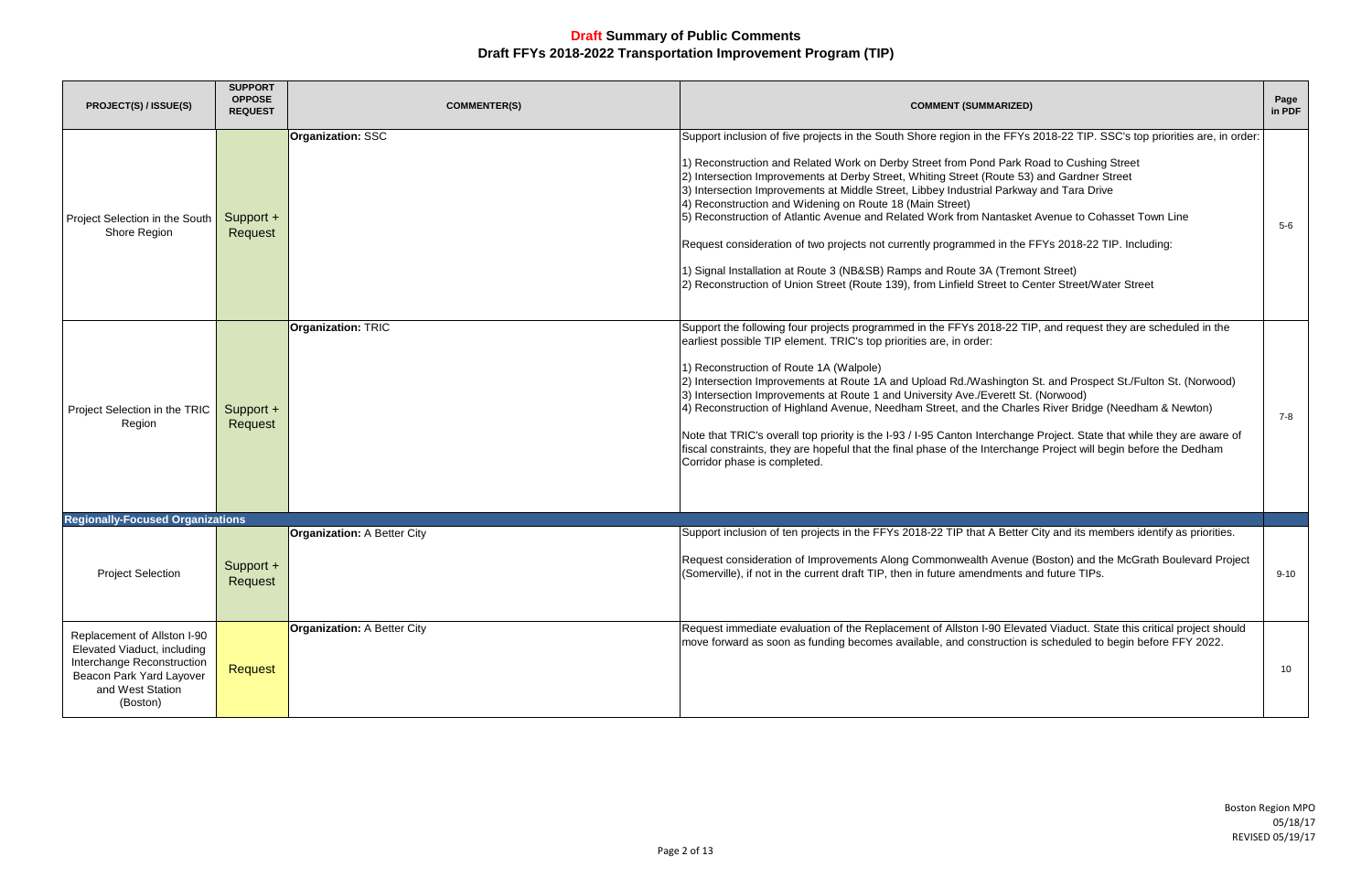| <b>PROJECT(S) / ISSUE(S)</b>                                                                                                                         | <b>SUPPORT</b><br><b>OPPOSE</b><br><b>REQUEST</b> | <b>COMMENTER(S)</b>                | <b>COMMENT (SUMMARIZED)</b>                                                                                                                                                                                                                                                                                                                                                                                                                                                                                                                                                                                                                                                                                                                                                                                                                                                 | Page<br>in PDF |
|------------------------------------------------------------------------------------------------------------------------------------------------------|---------------------------------------------------|------------------------------------|-----------------------------------------------------------------------------------------------------------------------------------------------------------------------------------------------------------------------------------------------------------------------------------------------------------------------------------------------------------------------------------------------------------------------------------------------------------------------------------------------------------------------------------------------------------------------------------------------------------------------------------------------------------------------------------------------------------------------------------------------------------------------------------------------------------------------------------------------------------------------------|----------------|
| Project Selection in the South<br>Shore Region                                                                                                       | Support +<br>Request                              | <b>Organization: SSC</b>           | Support inclusion of five projects in the South Shore region in the FFYs 2018-22 TIP. SSC's top priorities are, in order:<br>1) Reconstruction and Related Work on Derby Street from Pond Park Road to Cushing Street<br>2) Intersection Improvements at Derby Street, Whiting Street (Route 53) and Gardner Street<br>3) Intersection Improvements at Middle Street, Libbey Industrial Parkway and Tara Drive<br>4) Reconstruction and Widening on Route 18 (Main Street)<br>5) Reconstruction of Atlantic Avenue and Related Work from Nantasket Avenue to Cohasset Town Line<br>Request consideration of two projects not currently programmed in the FFYs 2018-22 TIP. Including:<br>1) Signal Installation at Route 3 (NB&SB) Ramps and Route 3A (Tremont Street)<br>2) Reconstruction of Union Street (Route 139), from Linfield Street to Center Street/Water Street | 5-6            |
| Project Selection in the TRIC<br>Region                                                                                                              | Support +<br>Request                              | <b>Organization: TRIC</b>          | Support the following four projects programmed in the FFYs 2018-22 TIP, and request they are scheduled in the<br>earliest possible TIP element. TRIC's top priorities are, in order:<br>1) Reconstruction of Route 1A (Walpole)<br>2) Intersection Improvements at Route 1A and Upload Rd./Washington St. and Prospect St./Fulton St. (Norwood)<br>3) Intersection Improvements at Route 1 and University Ave./Everett St. (Norwood)<br>4) Reconstruction of Highland Avenue, Needham Street, and the Charles River Bridge (Needham & Newton)<br>Note that TRIC's overall top priority is the I-93 / I-95 Canton Interchange Project. State that while they are aware of<br>fiscal constraints, they are hopeful that the final phase of the Interchange Project will begin before the Dedham<br>Corridor phase is completed.                                               | 7-8            |
| <b>Regionally-Focused Organizations</b>                                                                                                              |                                                   |                                    |                                                                                                                                                                                                                                                                                                                                                                                                                                                                                                                                                                                                                                                                                                                                                                                                                                                                             |                |
| <b>Project Selection</b>                                                                                                                             | Support +<br>Request                              | <b>Organization: A Better City</b> | Support inclusion of ten projects in the FFYs 2018-22 TIP that A Better City and its members identify as priorities.<br>Request consideration of Improvements Along Commonwealth Avenue (Boston) and the McGrath Boulevard Project<br>(Somerville), if not in the current draft TIP, then in future amendments and future TIPs.                                                                                                                                                                                                                                                                                                                                                                                                                                                                                                                                             | $9 - 10$       |
| Replacement of Allston I-90<br>Elevated Viaduct, including<br>Interchange Reconstruction<br>Beacon Park Yard Layover<br>and West Station<br>(Boston) | <b>Request</b>                                    | <b>Organization: A Better City</b> | Request immediate evaluation of the Replacement of Allston I-90 Elevated Viaduct. State this critical project should<br>move forward as soon as funding becomes available, and construction is scheduled to begin before FFY 2022.                                                                                                                                                                                                                                                                                                                                                                                                                                                                                                                                                                                                                                          | 10             |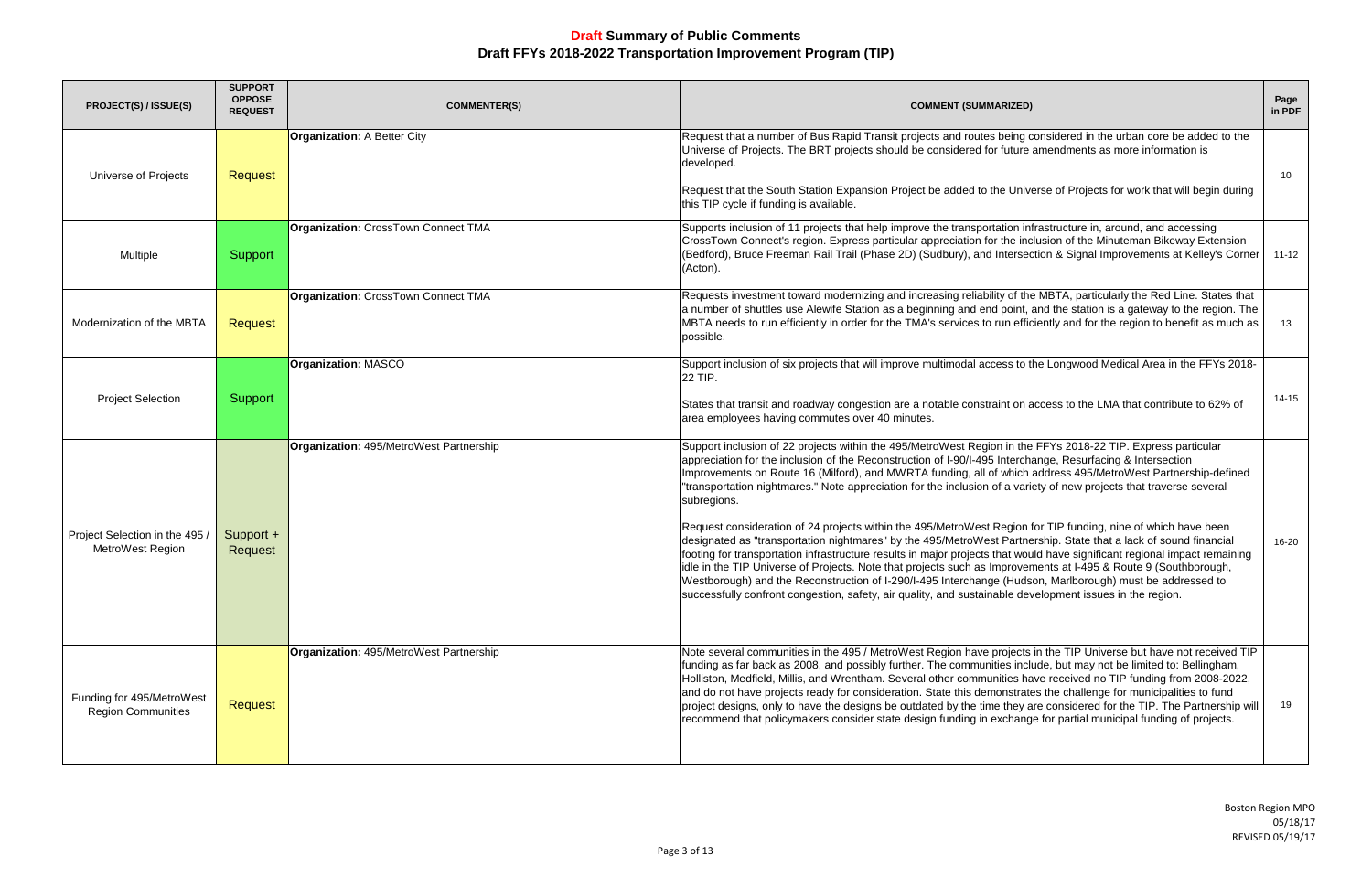| <b>PROJECT(S) / ISSUE(S)</b>                           | <b>SUPPORT</b><br><b>OPPOSE</b><br><b>REQUEST</b> | <b>COMMENTER(S)</b>                     | <b>COMMENT (SUMMARIZED)</b>                                                                                                                                                                                                                                                                                                                                                                                                                                                                                                                                                                                                                                                                                                                                                                                                                                                                                                                                                                                                                                                                                                                                                                     | Page<br>in PDF |
|--------------------------------------------------------|---------------------------------------------------|-----------------------------------------|-------------------------------------------------------------------------------------------------------------------------------------------------------------------------------------------------------------------------------------------------------------------------------------------------------------------------------------------------------------------------------------------------------------------------------------------------------------------------------------------------------------------------------------------------------------------------------------------------------------------------------------------------------------------------------------------------------------------------------------------------------------------------------------------------------------------------------------------------------------------------------------------------------------------------------------------------------------------------------------------------------------------------------------------------------------------------------------------------------------------------------------------------------------------------------------------------|----------------|
| Universe of Projects                                   | <b>Request</b>                                    | <b>Organization: A Better City</b>      | Request that a number of Bus Rapid Transit projects and routes being considered in the urban core be added to the<br>Universe of Projects. The BRT projects should be considered for future amendments as more information is<br>developed.<br>Request that the South Station Expansion Project be added to the Universe of Projects for work that will begin during<br>this TIP cycle if funding is available.                                                                                                                                                                                                                                                                                                                                                                                                                                                                                                                                                                                                                                                                                                                                                                                 | 10             |
| Multiple                                               | Support                                           | Organization: CrossTown Connect TMA     | Supports inclusion of 11 projects that help improve the transportation infrastructure in, around, and accessing<br>CrossTown Connect's region. Express particular appreciation for the inclusion of the Minuteman Bikeway Extension<br>(Bedford), Bruce Freeman Rail Trail (Phase 2D) (Sudbury), and Intersection & Signal Improvements at Kelley's Corner<br>(Acton).                                                                                                                                                                                                                                                                                                                                                                                                                                                                                                                                                                                                                                                                                                                                                                                                                          | $11 - 12$      |
| Modernization of the MBTA                              | Request                                           | Organization: CrossTown Connect TMA     | Requests investment toward modernizing and increasing reliability of the MBTA, particularly the Red Line. States that<br>a number of shuttles use Alewife Station as a beginning and end point, and the station is a gateway to the region. The<br>MBTA needs to run efficiently in order for the TMA's services to run efficiently and for the region to benefit as much as<br>possible.                                                                                                                                                                                                                                                                                                                                                                                                                                                                                                                                                                                                                                                                                                                                                                                                       | 13             |
| <b>Project Selection</b>                               | Support                                           | <b>Organization: MASCO</b>              | Support inclusion of six projects that will improve multimodal access to the Longwood Medical Area in the FFYs 2018-<br>22 TIP.<br>States that transit and roadway congestion are a notable constraint on access to the LMA that contribute to 62% of<br>area employees having commutes over 40 minutes.                                                                                                                                                                                                                                                                                                                                                                                                                                                                                                                                                                                                                                                                                                                                                                                                                                                                                        | $14 - 15$      |
| Project Selection in the 495<br>MetroWest Region       | Support +<br>Request                              | Organization: 495/MetroWest Partnership | Support inclusion of 22 projects within the 495/MetroWest Region in the FFYs 2018-22 TIP. Express particular<br>appreciation for the inclusion of the Reconstruction of I-90/I-495 Interchange, Resurfacing & Intersection<br>Improvements on Route 16 (Milford), and MWRTA funding, all of which address 495/MetroWest Partnership-defined<br>"transportation nightmares." Note appreciation for the inclusion of a variety of new projects that traverse several<br>subregions.<br>Request consideration of 24 projects within the 495/MetroWest Region for TIP funding, nine of which have been<br>designated as "transportation nightmares" by the 495/MetroWest Partnership. State that a lack of sound financial<br>footing for transportation infrastructure results in major projects that would have significant regional impact remaining<br>idle in the TIP Universe of Projects. Note that projects such as Improvements at I-495 & Route 9 (Southborough,<br>Westborough) and the Reconstruction of I-290/I-495 Interchange (Hudson, Marlborough) must be addressed to<br>successfully confront congestion, safety, air quality, and sustainable development issues in the region. | 16-20          |
| Funding for 495/MetroWest<br><b>Region Communities</b> | <b>Request</b>                                    | Organization: 495/MetroWest Partnership | Note several communities in the 495 / MetroWest Region have projects in the TIP Universe but have not received TIP<br>funding as far back as 2008, and possibly further. The communities include, but may not be limited to: Bellingham,<br>Holliston, Medfield, Millis, and Wrentham. Several other communities have received no TIP funding from 2008-2022,<br>and do not have projects ready for consideration. State this demonstrates the challenge for municipalities to fund<br>project designs, only to have the designs be outdated by the time they are considered for the TIP. The Partnership will<br>recommend that policymakers consider state design funding in exchange for partial municipal funding of projects.                                                                                                                                                                                                                                                                                                                                                                                                                                                              | 19             |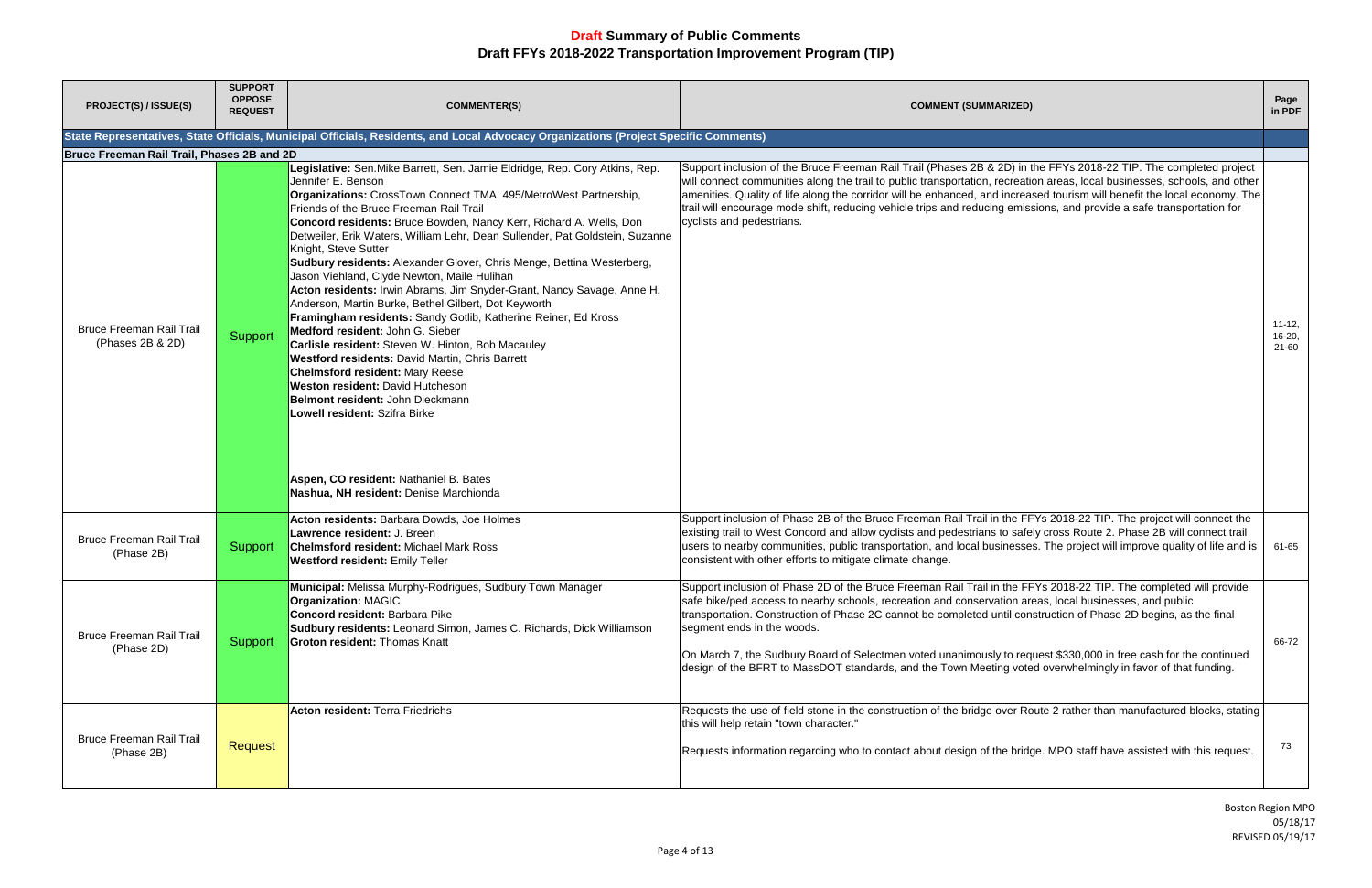| <b>PROJECT(S) / ISSUE(S)</b>                        | <b>SUPPORT</b><br><b>OPPOSE</b><br><b>REQUEST</b> | <b>COMMENTER(S)</b>                                                                                                                                                                                                                                                                                                                                                                                                                                                                                                                                                                                                                                                                                                                                                                                                                                                                                                                                                                                                                                                                                           | <b>COMMENT (SUMMARIZED)</b>                                                                                                                                                                                                                                                                                                                                                                                                                                                                                                                                                                                        | Page<br>in PDF                   |
|-----------------------------------------------------|---------------------------------------------------|---------------------------------------------------------------------------------------------------------------------------------------------------------------------------------------------------------------------------------------------------------------------------------------------------------------------------------------------------------------------------------------------------------------------------------------------------------------------------------------------------------------------------------------------------------------------------------------------------------------------------------------------------------------------------------------------------------------------------------------------------------------------------------------------------------------------------------------------------------------------------------------------------------------------------------------------------------------------------------------------------------------------------------------------------------------------------------------------------------------|--------------------------------------------------------------------------------------------------------------------------------------------------------------------------------------------------------------------------------------------------------------------------------------------------------------------------------------------------------------------------------------------------------------------------------------------------------------------------------------------------------------------------------------------------------------------------------------------------------------------|----------------------------------|
|                                                     |                                                   | State Representatives, State Officials, Municipal Officials, Residents, and Local Advocacy Organizations (Project Specific Comments)                                                                                                                                                                                                                                                                                                                                                                                                                                                                                                                                                                                                                                                                                                                                                                                                                                                                                                                                                                          |                                                                                                                                                                                                                                                                                                                                                                                                                                                                                                                                                                                                                    |                                  |
| Bruce Freeman Rail Trail, Phases 2B and 2D          |                                                   |                                                                                                                                                                                                                                                                                                                                                                                                                                                                                                                                                                                                                                                                                                                                                                                                                                                                                                                                                                                                                                                                                                               |                                                                                                                                                                                                                                                                                                                                                                                                                                                                                                                                                                                                                    |                                  |
| <b>Bruce Freeman Rail Trail</b><br>(Phases 2B & 2D) | Support                                           | Legislative: Sen. Mike Barrett, Sen. Jamie Eldridge, Rep. Cory Atkins, Rep.<br>Jennifer E. Benson<br>Organizations: CrossTown Connect TMA, 495/MetroWest Partnership,<br>Friends of the Bruce Freeman Rail Trail<br>Concord residents: Bruce Bowden, Nancy Kerr, Richard A. Wells, Don<br>Detweiler, Erik Waters, William Lehr, Dean Sullender, Pat Goldstein, Suzanne<br>Knight, Steve Sutter<br>Sudbury residents: Alexander Glover, Chris Menge, Bettina Westerberg,<br>Jason Viehland, Clyde Newton, Maile Hulihan<br>Acton residents: Irwin Abrams, Jim Snyder-Grant, Nancy Savage, Anne H.<br>Anderson, Martin Burke, Bethel Gilbert, Dot Keyworth<br>Framingham residents: Sandy Gotlib, Katherine Reiner, Ed Kross<br>Medford resident: John G. Sieber<br>Carlisle resident: Steven W. Hinton, Bob Macauley<br>Westford residents: David Martin, Chris Barrett<br><b>Chelmsford resident: Mary Reese</b><br>Weston resident: David Hutcheson<br>Belmont resident: John Dieckmann<br>Lowell resident: Szifra Birke<br>Aspen, CO resident: Nathaniel B. Bates<br>Nashua, NH resident: Denise Marchionda | Support inclusion of the Bruce Freeman Rail Trail (Phases 2B & 2D) in the FFYs 2018-22 TIP. The completed project<br>will connect communities along the trail to public transportation, recreation areas, local businesses, schools, and other<br>amenities. Quality of life along the corridor will be enhanced, and increased tourism will benefit the local economy. The<br>trail will encourage mode shift, reducing vehicle trips and reducing emissions, and provide a safe transportation for<br>cyclists and pedestrians.                                                                                  | $11 - 12,$<br>$16 - 20$<br>21-60 |
| <b>Bruce Freeman Rail Trail</b><br>(Phase 2B)       | Support                                           | Acton residents: Barbara Dowds, Joe Holmes<br>Lawrence resident: J. Breen<br><b>Chelmsford resident: Michael Mark Ross</b><br><b>Westford resident: Emily Teller</b>                                                                                                                                                                                                                                                                                                                                                                                                                                                                                                                                                                                                                                                                                                                                                                                                                                                                                                                                          | Support inclusion of Phase 2B of the Bruce Freeman Rail Trail in the FFYs 2018-22 TIP. The project will connect the<br>existing trail to West Concord and allow cyclists and pedestrians to safely cross Route 2. Phase 2B will connect trail<br>users to nearby communities, public transportation, and local businesses. The project will improve quality of life and is<br>consistent with other efforts to mitigate climate change.                                                                                                                                                                            | 61-65                            |
| <b>Bruce Freeman Rail Trail</b><br>(Phase 2D)       | Support                                           | Municipal: Melissa Murphy-Rodrigues, Sudbury Town Manager<br><b>Organization: MAGIC</b><br><b>Concord resident: Barbara Pike</b><br>Sudbury residents: Leonard Simon, James C. Richards, Dick Williamson<br><b>Groton resident: Thomas Knatt</b>                                                                                                                                                                                                                                                                                                                                                                                                                                                                                                                                                                                                                                                                                                                                                                                                                                                              | Support inclusion of Phase 2D of the Bruce Freeman Rail Trail in the FFYs 2018-22 TIP. The completed will provide<br>safe bike/ped access to nearby schools, recreation and conservation areas, local businesses, and public<br>transportation. Construction of Phase 2C cannot be completed until construction of Phase 2D begins, as the final<br>segment ends in the woods.<br>On March 7, the Sudbury Board of Selectmen voted unanimously to request \$330,000 in free cash for the continued<br>design of the BFRT to MassDOT standards, and the Town Meeting voted overwhelmingly in favor of that funding. | 66-72                            |
| <b>Bruce Freeman Rail Trail</b><br>(Phase 2B)       | Request                                           | <b>Acton resident: Terra Friedrichs</b>                                                                                                                                                                                                                                                                                                                                                                                                                                                                                                                                                                                                                                                                                                                                                                                                                                                                                                                                                                                                                                                                       | Requests the use of field stone in the construction of the bridge over Route 2 rather than manufactured blocks, stating<br>this will help retain "town character."<br>Requests information regarding who to contact about design of the bridge. MPO staff have assisted with this request.                                                                                                                                                                                                                                                                                                                         | 73                               |

| <b>IZED)</b>                                                                                                                                                                                                                                        | Page<br>in PDF                        |
|-----------------------------------------------------------------------------------------------------------------------------------------------------------------------------------------------------------------------------------------------------|---------------------------------------|
|                                                                                                                                                                                                                                                     |                                       |
| ) in the FFYs 2018-22 TIP. The completed project<br>reation areas, local businesses, schools, and other<br>creased tourism will benefit the local economy. The<br>emissions, and provide a safe transportation for                                  | $11 - 12,$<br>$16 - 20,$<br>$21 - 60$ |
| e FFYs 2018-22 TIP. The project will connect the<br>safely cross Route 2. Phase 2B will connect trail<br>esses. The project will improve quality of life and is                                                                                     | 61-65                                 |
| e FFYs 2018-22 TIP. The completed will provide<br>on areas, local businesses, and public<br>I construction of Phase 2D begins, as the final<br>o request \$330,000 in free cash for the continued<br>voted overwhelmingly in favor of that funding. | 66-72                                 |
| er Route 2 rather than manufactured blocks, stating<br>bridge. MPO staff have assisted with this request.                                                                                                                                           | 73                                    |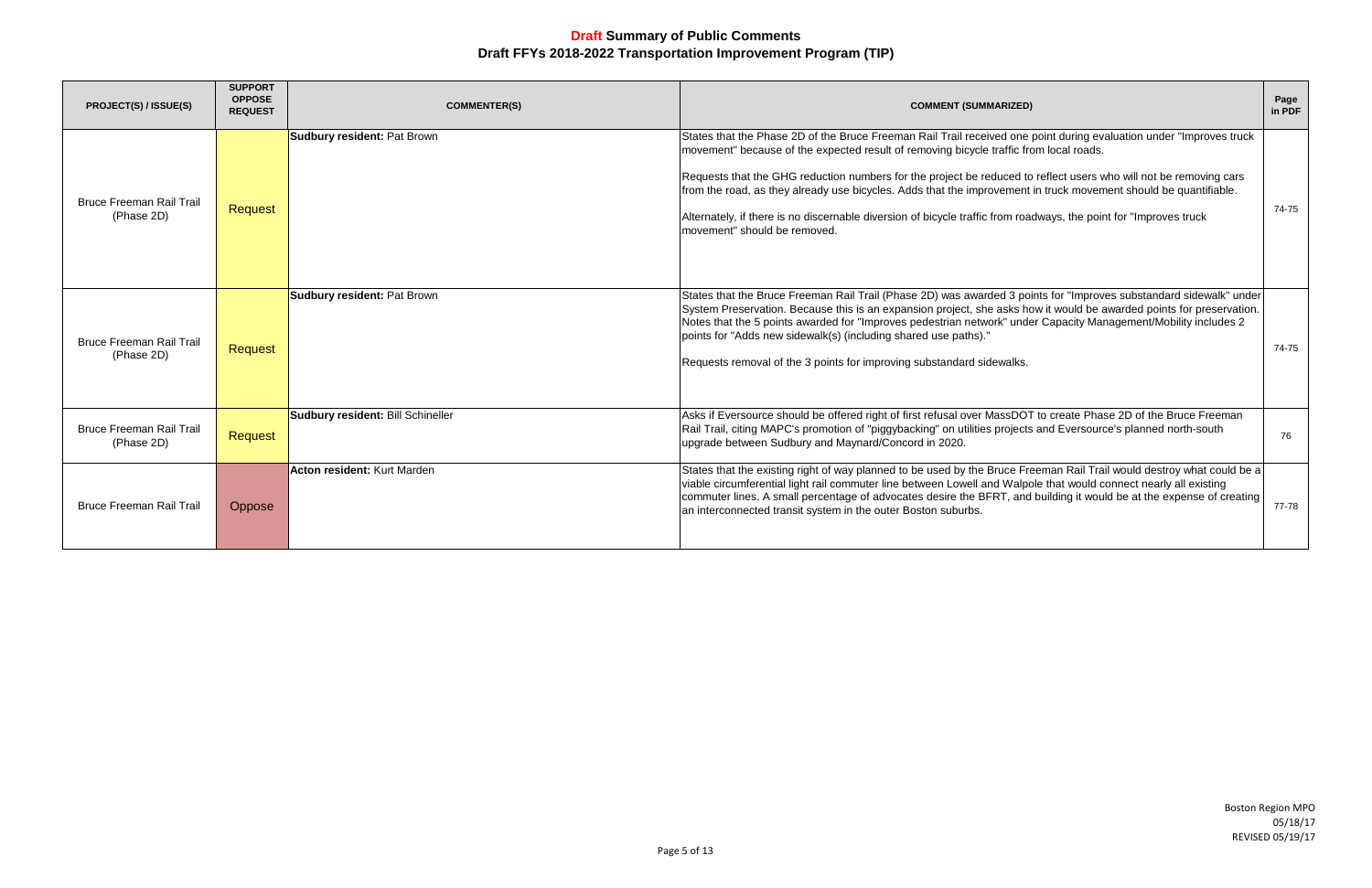Boston Region MPO 05/18/17 REVISED 05/19/17

| IZED)                                                                                                                                                                                                                          | Page<br>in PDF |
|--------------------------------------------------------------------------------------------------------------------------------------------------------------------------------------------------------------------------------|----------------|
| one point during evaluation under "Improves truck<br>fic from local roads.<br>ed to reflect users who will not be removing cars<br>nent in truck movement should be quantifiable.<br>n roadways, the point for "Improves truck | 74-75          |
| 3 points for "Improves substandard sidewalk" under<br>ks how it would be awarded points for preservation.<br>under Capacity Management/Mobility includes 2<br>alks.                                                            | 74-75          |
| DOT to create Phase 2D of the Bruce Freeman<br>jects and Eversource's planned north-south                                                                                                                                      | 76             |
| e Freeman Rail Trail would destroy what could be a<br>Valpole that would connect nearly all existing<br>and building it would be at the expense of creating                                                                    | 77-78          |

| PROJECT(S) / ISSUE(S)                         | <b>SUPPORT</b><br><b>OPPOSE</b><br><b>REQUEST</b> | <b>COMMENTER(S)</b>                | <b>COMMENT (SUMMARIZED)</b>                                                                                                                                                                                                                                                                                                                                                                                                                                                                                                                                                                                 | Page<br>in PDF |
|-----------------------------------------------|---------------------------------------------------|------------------------------------|-------------------------------------------------------------------------------------------------------------------------------------------------------------------------------------------------------------------------------------------------------------------------------------------------------------------------------------------------------------------------------------------------------------------------------------------------------------------------------------------------------------------------------------------------------------------------------------------------------------|----------------|
| <b>Bruce Freeman Rail Trail</b><br>(Phase 2D) | Request                                           | <b>Sudbury resident: Pat Brown</b> | States that the Phase 2D of the Bruce Freeman Rail Trail received one point during evaluation under "Improves truck<br>movement" because of the expected result of removing bicycle traffic from local roads.<br>Requests that the GHG reduction numbers for the project be reduced to reflect users who will not be removing cars<br>from the road, as they already use bicycles. Adds that the improvement in truck movement should be quantifiable.<br>Alternately, if there is no discernable diversion of bicycle traffic from roadways, the point for "Improves truck<br>movement" should be removed. | 74-75          |
| <b>Bruce Freeman Rail Trail</b><br>(Phase 2D) | <b>Request</b>                                    | <b>Sudbury resident: Pat Brown</b> | States that the Bruce Freeman Rail Trail (Phase 2D) was awarded 3 points for "Improves substandard sidewalk" under<br>System Preservation. Because this is an expansion project, she asks how it would be awarded points for preservation.<br>Notes that the 5 points awarded for "Improves pedestrian network" under Capacity Management/Mobility includes 2<br>points for "Adds new sidewalk(s) (including shared use paths)."<br>Requests removal of the 3 points for improving substandard sidewalks.                                                                                                   | 74-75          |
| <b>Bruce Freeman Rail Trail</b><br>(Phase 2D) | <b>Request</b>                                    | Sudbury resident: Bill Schineller  | Asks if Eversource should be offered right of first refusal over MassDOT to create Phase 2D of the Bruce Freeman<br>Rail Trail, citing MAPC's promotion of "piggybacking" on utilities projects and Eversource's planned north-south<br>upgrade between Sudbury and Maynard/Concord in 2020.                                                                                                                                                                                                                                                                                                                | 76             |
| <b>Bruce Freeman Rail Trail</b>               | Oppose                                            | Acton resident: Kurt Marden        | States that the existing right of way planned to be used by the Bruce Freeman Rail Trail would destroy what could be a<br>viable circumferential light rail commuter line between Lowell and Walpole that would connect nearly all existing<br>commuter lines. A small percentage of advocates desire the BFRT, and building it would be at the expense of creating<br>an interconnected transit system in the outer Boston suburbs.                                                                                                                                                                        | 77-78          |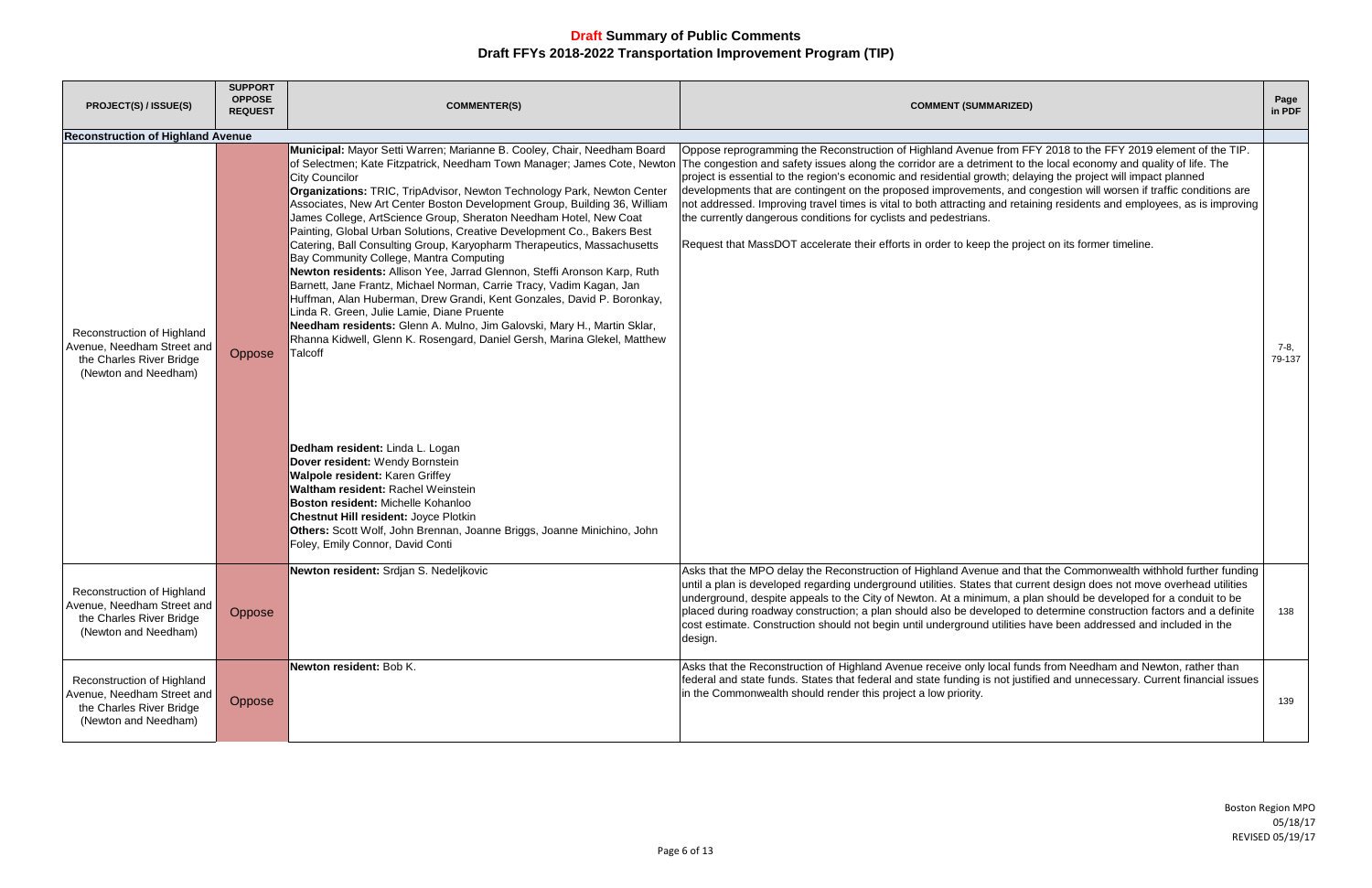| <b>PROJECT(S) / ISSUE(S)</b>                                                                                 | <b>SUPPORT</b><br><b>OPPOSE</b><br><b>REQUEST</b> | <b>COMMENTER(S)</b>                                                                                                                                                                                                                                                                                                                                                                                                                                                                                                                                                                                                                                                                                                                                                                                                                                                                                                                                                                                                                                                                                                                                                                                                                                                                                                              | <b>COMMENT (SUMMARIZED)</b>                                                                                                                                                                                                                                                                                                                                                                                                                                                                                                                                                                                                                                                                                                                                                                                                                               | Page<br>in PDF |
|--------------------------------------------------------------------------------------------------------------|---------------------------------------------------|----------------------------------------------------------------------------------------------------------------------------------------------------------------------------------------------------------------------------------------------------------------------------------------------------------------------------------------------------------------------------------------------------------------------------------------------------------------------------------------------------------------------------------------------------------------------------------------------------------------------------------------------------------------------------------------------------------------------------------------------------------------------------------------------------------------------------------------------------------------------------------------------------------------------------------------------------------------------------------------------------------------------------------------------------------------------------------------------------------------------------------------------------------------------------------------------------------------------------------------------------------------------------------------------------------------------------------|-----------------------------------------------------------------------------------------------------------------------------------------------------------------------------------------------------------------------------------------------------------------------------------------------------------------------------------------------------------------------------------------------------------------------------------------------------------------------------------------------------------------------------------------------------------------------------------------------------------------------------------------------------------------------------------------------------------------------------------------------------------------------------------------------------------------------------------------------------------|----------------|
| <b>Reconstruction of Highland Avenue</b>                                                                     |                                                   |                                                                                                                                                                                                                                                                                                                                                                                                                                                                                                                                                                                                                                                                                                                                                                                                                                                                                                                                                                                                                                                                                                                                                                                                                                                                                                                                  |                                                                                                                                                                                                                                                                                                                                                                                                                                                                                                                                                                                                                                                                                                                                                                                                                                                           |                |
| Reconstruction of Highland<br>Avenue, Needham Street and<br>the Charles River Bridge<br>(Newton and Needham) | Oppose                                            | Municipal: Mayor Setti Warren; Marianne B. Cooley, Chair, Needham Board<br><b>City Councilor</b><br>Organizations: TRIC, TripAdvisor, Newton Technology Park, Newton Center<br>Associates, New Art Center Boston Development Group, Building 36, William<br>James College, ArtScience Group, Sheraton Needham Hotel, New Coat<br>Painting, Global Urban Solutions, Creative Development Co., Bakers Best<br>Catering, Ball Consulting Group, Karyopharm Therapeutics, Massachusetts<br>Bay Community College, Mantra Computing<br>Newton residents: Allison Yee, Jarrad Glennon, Steffi Aronson Karp, Ruth<br>Barnett, Jane Frantz, Michael Norman, Carrie Tracy, Vadim Kagan, Jan<br>Huffman, Alan Huberman, Drew Grandi, Kent Gonzales, David P. Boronkay,<br>Linda R. Green, Julie Lamie, Diane Pruente<br>Needham residents: Glenn A. Mulno, Jim Galovski, Mary H., Martin Sklar,<br>Rhanna Kidwell, Glenn K. Rosengard, Daniel Gersh, Marina Glekel, Matthew<br>Talcoff<br>Dedham resident: Linda L. Logan<br>Dover resident: Wendy Bornstein<br>Walpole resident: Karen Griffey<br>Waltham resident: Rachel Weinstein<br>Boston resident: Michelle Kohanloo<br><b>Chestnut Hill resident: Joyce Plotkin</b><br>Others: Scott Wolf, John Brennan, Joanne Briggs, Joanne Minichino, John<br>Foley, Emily Connor, David Conti | Oppose reprogramming the Reconstruction of Highland Avenue from FFY 2018 to the FFY 2019 element of the TIP.<br>of Selectmen; Kate Fitzpatrick, Needham Town Manager; James Cote, Newton The congestion and safety issues along the corridor are a detriment to the local economy and quality of life. The<br>project is essential to the region's economic and residential growth; delaying the project will impact planned<br>developments that are contingent on the proposed improvements, and congestion will worsen if traffic conditions are<br>not addressed. Improving travel times is vital to both attracting and retaining residents and employees, as is improving<br>the currently dangerous conditions for cyclists and pedestrians.<br>Request that MassDOT accelerate their efforts in order to keep the project on its former timeline. | 7-8,<br>79-137 |
| Reconstruction of Highland<br>Avenue, Needham Street and<br>the Charles River Bridge<br>(Newton and Needham) | Oppose                                            | Newton resident: Srdjan S. Nedeljkovic                                                                                                                                                                                                                                                                                                                                                                                                                                                                                                                                                                                                                                                                                                                                                                                                                                                                                                                                                                                                                                                                                                                                                                                                                                                                                           | Asks that the MPO delay the Reconstruction of Highland Avenue and that the Commonwealth withhold further funding<br>until a plan is developed regarding underground utilities. States that current design does not move overhead utilities<br>underground, despite appeals to the City of Newton. At a minimum, a plan should be developed for a conduit to be<br>placed during roadway construction; a plan should also be developed to determine construction factors and a definite<br>cost estimate. Construction should not begin until underground utilities have been addressed and included in the<br>design.                                                                                                                                                                                                                                     | 138            |
| Reconstruction of Highland<br>Avenue, Needham Street and<br>the Charles River Bridge<br>(Newton and Needham) | Oppose                                            | Newton resident: Bob K.                                                                                                                                                                                                                                                                                                                                                                                                                                                                                                                                                                                                                                                                                                                                                                                                                                                                                                                                                                                                                                                                                                                                                                                                                                                                                                          | Asks that the Reconstruction of Highland Avenue receive only local funds from Needham and Newton, rather than<br>federal and state funds. States that federal and state funding is not justified and unnecessary. Current financial issues<br>in the Commonwealth should render this project a low priority.                                                                                                                                                                                                                                                                                                                                                                                                                                                                                                                                              | 139            |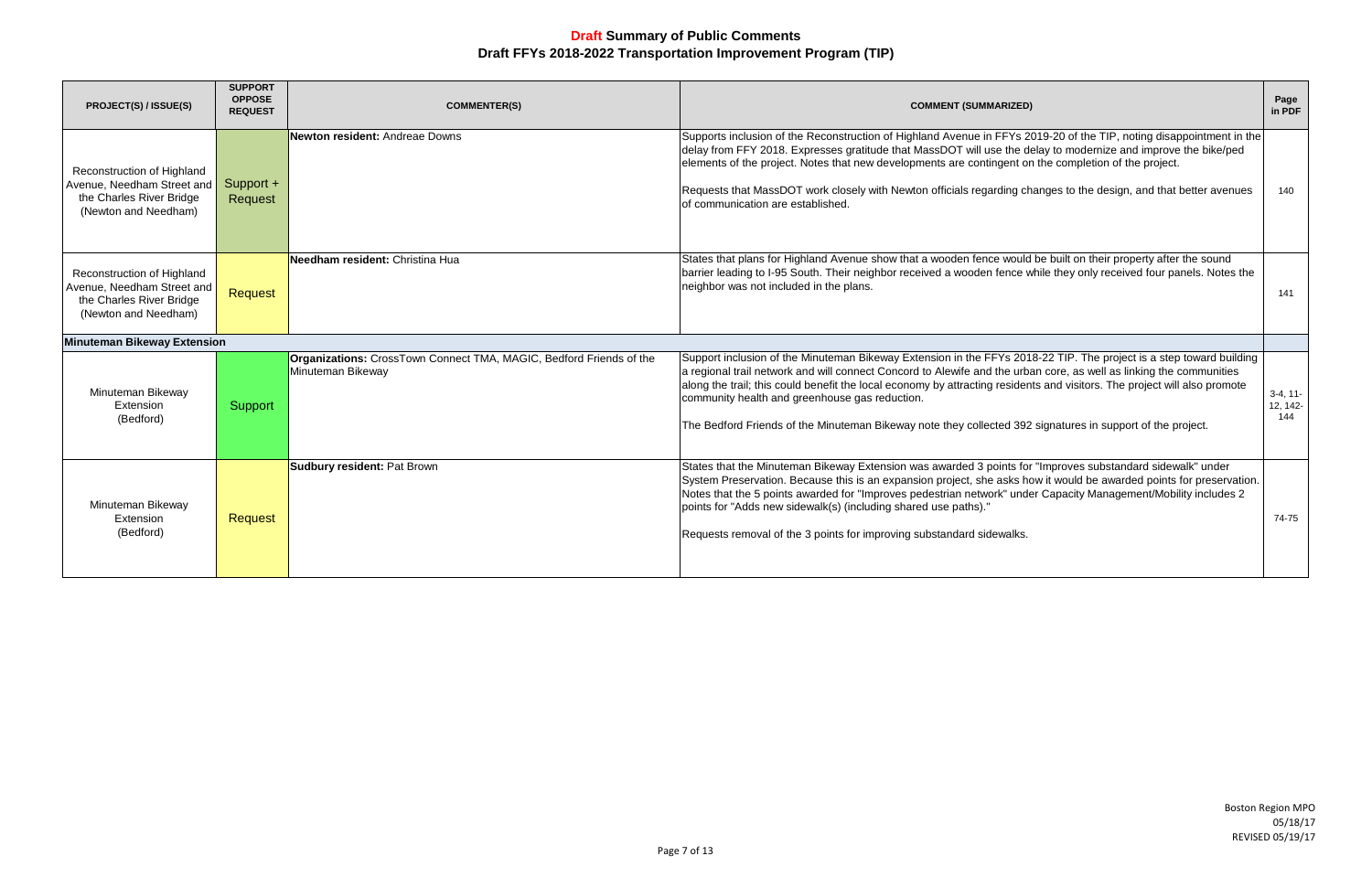| <b>PROJECT(S) / ISSUE(S)</b>                                                                                 | <b>SUPPORT</b><br><b>OPPOSE</b><br><b>REQUEST</b> | <b>COMMENTER(S)</b>                                                                      | <b>COMMENT (SUMMARIZED)</b>                                                                                                                                                                                                                                                                                                                                                                                                                                                                                                             | Page<br>in PDF                |
|--------------------------------------------------------------------------------------------------------------|---------------------------------------------------|------------------------------------------------------------------------------------------|-----------------------------------------------------------------------------------------------------------------------------------------------------------------------------------------------------------------------------------------------------------------------------------------------------------------------------------------------------------------------------------------------------------------------------------------------------------------------------------------------------------------------------------------|-------------------------------|
| Reconstruction of Highland<br>Avenue, Needham Street and<br>the Charles River Bridge<br>(Newton and Needham) | Support +<br>Request                              | Newton resident: Andreae Downs                                                           | Supports inclusion of the Reconstruction of Highland Avenue in FFYs 2019-20 of the TIP, noting disappointment in the<br>delay from FFY 2018. Expresses gratitude that MassDOT will use the delay to modernize and improve the bike/ped<br>elements of the project. Notes that new developments are contingent on the completion of the project.<br>Requests that MassDOT work closely with Newton officials regarding changes to the design, and that better avenues<br>of communication are established.                               | 140                           |
| Reconstruction of Highland<br>Avenue, Needham Street and<br>the Charles River Bridge<br>(Newton and Needham) | <b>Request</b>                                    | Needham resident: Christina Hua                                                          | States that plans for Highland Avenue show that a wooden fence would be built on their property after the sound<br>barrier leading to I-95 South. Their neighbor received a wooden fence while they only received four panels. Notes the<br>neighbor was not included in the plans.                                                                                                                                                                                                                                                     | 141                           |
| <b>Minuteman Bikeway Extension</b>                                                                           |                                                   |                                                                                          |                                                                                                                                                                                                                                                                                                                                                                                                                                                                                                                                         |                               |
| Minuteman Bikeway<br>Extension<br>(Bedford)                                                                  | Support                                           | Organizations: CrossTown Connect TMA, MAGIC, Bedford Friends of the<br>Minuteman Bikeway | Support inclusion of the Minuteman Bikeway Extension in the FFYs 2018-22 TIP. The project is a step toward building<br>a regional trail network and will connect Concord to Alewife and the urban core, as well as linking the communities<br>along the trail; this could benefit the local economy by attracting residents and visitors. The project will also promote<br>community health and greenhouse gas reduction.<br>The Bedford Friends of the Minuteman Bikeway note they collected 392 signatures in support of the project. | $3-4, 11-$<br>12, 142-<br>144 |
| Minuteman Bikeway<br>Extension<br>(Bedford)                                                                  | <b>Request</b>                                    | <b>Sudbury resident: Pat Brown</b>                                                       | States that the Minuteman Bikeway Extension was awarded 3 points for "Improves substandard sidewalk" under<br>System Preservation. Because this is an expansion project, she asks how it would be awarded points for preservation.<br>Notes that the 5 points awarded for "Improves pedestrian network" under Capacity Management/Mobility includes 2<br>points for "Adds new sidewalk(s) (including shared use paths)."<br>Requests removal of the 3 points for improving substandard sidewalks.                                       | 74-75                         |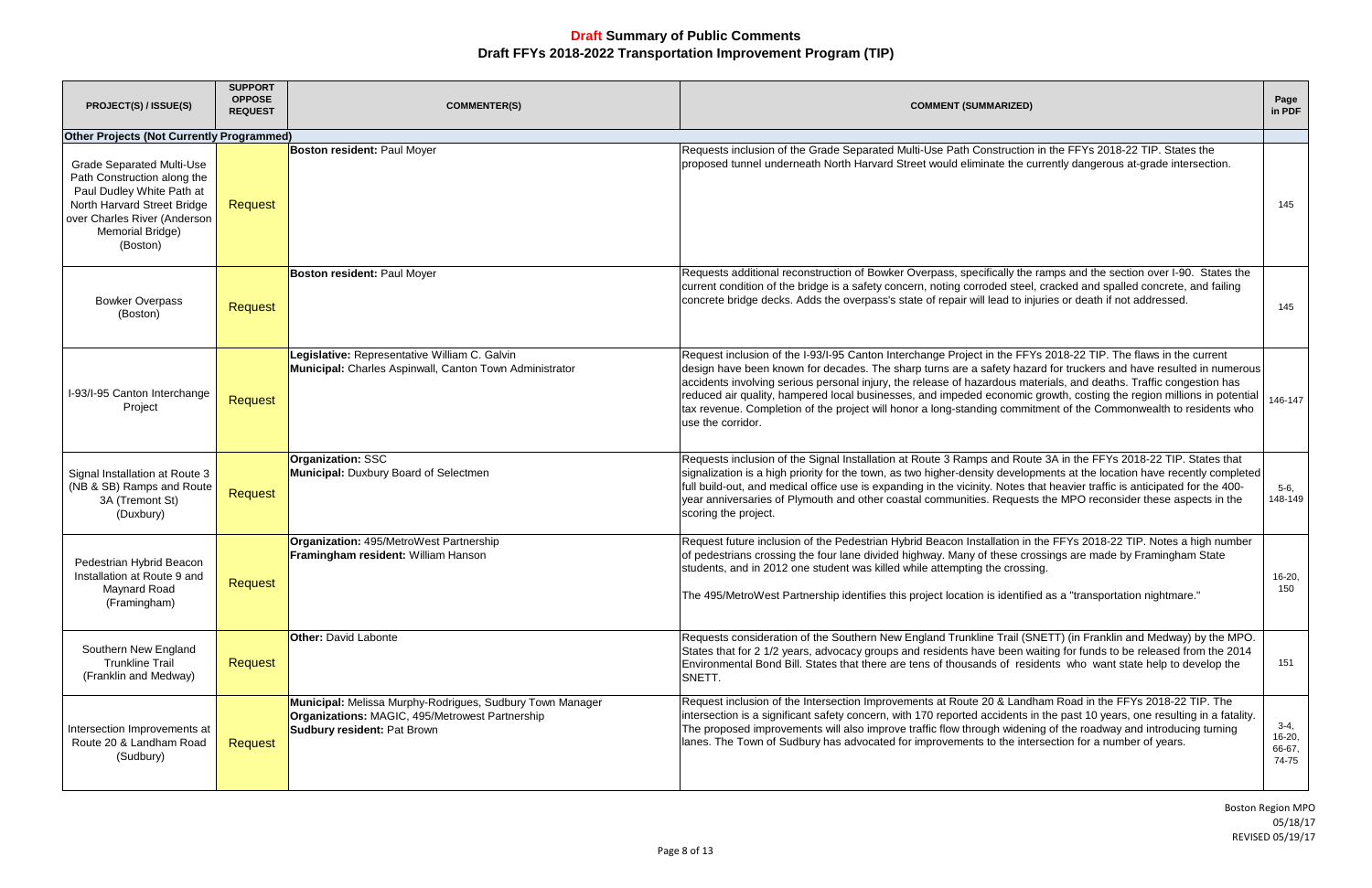| <b>PROJECT(S) / ISSUE(S)</b>                                                                                                                                                                | <b>SUPPORT</b><br><b>OPPOSE</b><br><b>REQUEST</b> | <b>COMMENTER(S)</b>                                                                                                                                | <b>COMMENT (SUMMARIZED)</b>                                                                                                                                                                                                                                                                                                                                                                                                                                                                                                                                                                                                     | Page<br>in PDF                        |
|---------------------------------------------------------------------------------------------------------------------------------------------------------------------------------------------|---------------------------------------------------|----------------------------------------------------------------------------------------------------------------------------------------------------|---------------------------------------------------------------------------------------------------------------------------------------------------------------------------------------------------------------------------------------------------------------------------------------------------------------------------------------------------------------------------------------------------------------------------------------------------------------------------------------------------------------------------------------------------------------------------------------------------------------------------------|---------------------------------------|
| <b>Other Projects (Not Currently Programmed)</b>                                                                                                                                            |                                                   |                                                                                                                                                    |                                                                                                                                                                                                                                                                                                                                                                                                                                                                                                                                                                                                                                 |                                       |
| <b>Grade Separated Multi-Use</b><br>Path Construction along the<br>Paul Dudley White Path at<br>North Harvard Street Bridge<br>over Charles River (Anderson<br>Memorial Bridge)<br>(Boston) | <b>Request</b>                                    | <b>Boston resident: Paul Moyer</b>                                                                                                                 | Requests inclusion of the Grade Separated Multi-Use Path Construction in the FFYs 2018-22 TIP. States the<br>proposed tunnel underneath North Harvard Street would eliminate the currently dangerous at-grade intersection.                                                                                                                                                                                                                                                                                                                                                                                                     | 145                                   |
| <b>Bowker Overpass</b><br>(Boston)                                                                                                                                                          | <b>Request</b>                                    | <b>Boston resident: Paul Moyer</b>                                                                                                                 | Requests additional reconstruction of Bowker Overpass, specifically the ramps and the section over I-90. States the<br>current condition of the bridge is a safety concern, noting corroded steel, cracked and spalled concrete, and failing<br>concrete bridge decks. Adds the overpass's state of repair will lead to injuries or death if not addressed.                                                                                                                                                                                                                                                                     | 145                                   |
| I-93/I-95 Canton Interchange<br>Project                                                                                                                                                     | Request                                           | Legislative: Representative William C. Galvin<br>Municipal: Charles Aspinwall, Canton Town Administrator                                           | Request inclusion of the I-93/I-95 Canton Interchange Project in the FFYs 2018-22 TIP. The flaws in the current<br>design have been known for decades. The sharp turns are a safety hazard for truckers and have resulted in numerous<br>accidents involving serious personal injury, the release of hazardous materials, and deaths. Traffic congestion has<br>reduced air quality, hampered local businesses, and impeded economic growth, costing the region millions in potential<br>tax revenue. Completion of the project will honor a long-standing commitment of the Commonwealth to residents who<br>use the corridor. | 146-147                               |
| Signal Installation at Route 3<br>(NB & SB) Ramps and Route<br>3A (Tremont St)<br>(Duxbury)                                                                                                 | Request                                           | <b>Organization: SSC</b><br>Municipal: Duxbury Board of Selectmen                                                                                  | Requests inclusion of the Signal Installation at Route 3 Ramps and Route 3A in the FFYs 2018-22 TIP. States that<br>signalization is a high priority for the town, as two higher-density developments at the location have recently completed<br>full build-out, and medical office use is expanding in the vicinity. Notes that heavier traffic is anticipated for the 400-<br>year anniversaries of Plymouth and other coastal communities. Requests the MPO reconsider these aspects in the<br>scoring the project.                                                                                                          | $5-6,$<br>148-149                     |
| Pedestrian Hybrid Beacon<br>Installation at Route 9 and<br>Maynard Road<br>(Framingham)                                                                                                     | Request                                           | Organization: 495/MetroWest Partnership<br>Framingham resident: William Hanson                                                                     | Request future inclusion of the Pedestrian Hybrid Beacon Installation in the FFYs 2018-22 TIP. Notes a high number<br>of pedestrians crossing the four lane divided highway. Many of these crossings are made by Framingham State<br>students, and in 2012 one student was killed while attempting the crossing.<br>The 495/MetroWest Partnership identifies this project location is identified as a "transportation nightmare."                                                                                                                                                                                               | 16-20,<br>150                         |
| Southern New England<br><b>Trunkline Trail</b><br>(Franklin and Medway)                                                                                                                     | Request                                           | <b>Other: David Labonte</b>                                                                                                                        | Requests consideration of the Southern New England Trunkline Trail (SNETT) (in Franklin and Medway) by the MPO.<br>States that for 2 1/2 years, advocacy groups and residents have been waiting for funds to be released from the 2014<br>Environmental Bond Bill. States that there are tens of thousands of residents who want state help to develop the<br>SNETT.                                                                                                                                                                                                                                                            | 151                                   |
| Intersection Improvements at<br>Route 20 & Landham Road<br>(Sudbury)                                                                                                                        | Request                                           | Municipal: Melissa Murphy-Rodrigues, Sudbury Town Manager<br>Organizations: MAGIC, 495/Metrowest Partnership<br><b>Sudbury resident: Pat Brown</b> | Request inclusion of the Intersection Improvements at Route 20 & Landham Road in the FFYs 2018-22 TIP. The<br>intersection is a significant safety concern, with 170 reported accidents in the past 10 years, one resulting in a fatality.<br>The proposed improvements will also improve traffic flow through widening of the roadway and introducing turning<br>lanes. The Town of Sudbury has advocated for improvements to the intersection for a number of years.                                                                                                                                                          | $3-4,$<br>$16-20,$<br>66-67,<br>74-75 |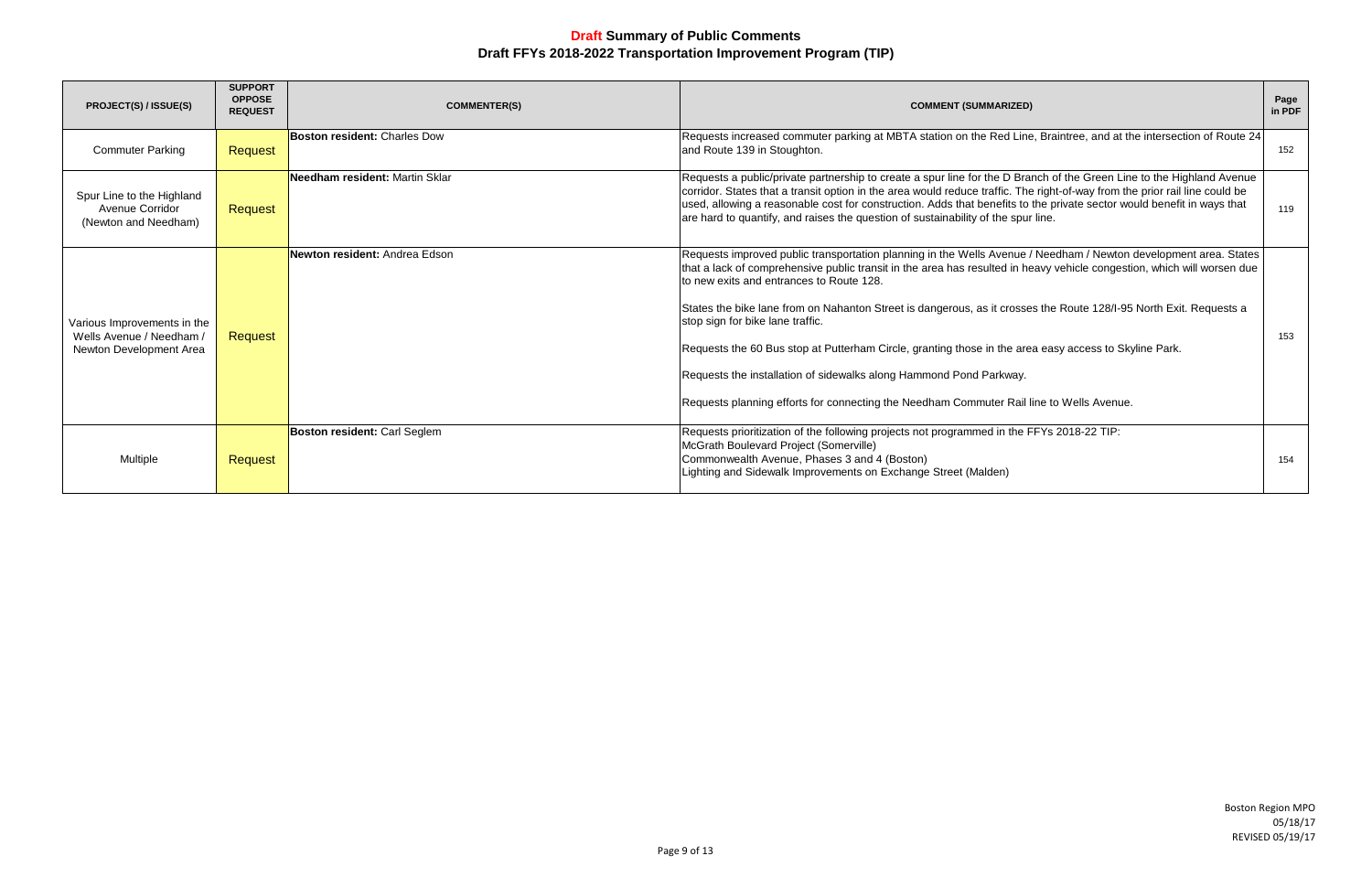| <b>PROJECT(S) / ISSUE(S)</b>                                                       | <b>SUPPORT</b><br><b>OPPOSE</b><br><b>REQUEST</b> | <b>COMMENTER(S)</b>                   | <b>COMMENT (SUMMARIZED)</b>                                                                                                                                                                                                                                                                                                                                                                                                                                                                                                                                                                                                                                                                                                  | Page<br>in PDF |
|------------------------------------------------------------------------------------|---------------------------------------------------|---------------------------------------|------------------------------------------------------------------------------------------------------------------------------------------------------------------------------------------------------------------------------------------------------------------------------------------------------------------------------------------------------------------------------------------------------------------------------------------------------------------------------------------------------------------------------------------------------------------------------------------------------------------------------------------------------------------------------------------------------------------------------|----------------|
| <b>Commuter Parking</b>                                                            | Request                                           | <b>Boston resident: Charles Dow</b>   | Requests increased commuter parking at MBTA station on the Red Line, Braintree, and at the intersection of Route 24<br>and Route 139 in Stoughton.                                                                                                                                                                                                                                                                                                                                                                                                                                                                                                                                                                           | 152            |
| Spur Line to the Highland<br>Avenue Corridor<br>(Newton and Needham)               | Request                                           | <b>Needham resident: Martin Sklar</b> | Requests a public/private partnership to create a spur line for the D Branch of the Green Line to the Highland Avenue<br>corridor. States that a transit option in the area would reduce traffic. The right-of-way from the prior rail line could be<br>used, allowing a reasonable cost for construction. Adds that benefits to the private sector would benefit in ways that<br>are hard to quantify, and raises the question of sustainability of the spur line.                                                                                                                                                                                                                                                          | 119            |
| Various Improvements in the<br>Wells Avenue / Needham /<br>Newton Development Area | Request                                           | Newton resident: Andrea Edson         | Requests improved public transportation planning in the Wells Avenue / Needham / Newton development area. States<br>that a lack of comprehensive public transit in the area has resulted in heavy vehicle congestion, which will worsen due<br>to new exits and entrances to Route 128.<br>States the bike lane from on Nahanton Street is dangerous, as it crosses the Route 128/I-95 North Exit. Requests a<br>stop sign for bike lane traffic.<br>Requests the 60 Bus stop at Putterham Circle, granting those in the area easy access to Skyline Park.<br>Requests the installation of sidewalks along Hammond Pond Parkway.<br>Requests planning efforts for connecting the Needham Commuter Rail line to Wells Avenue. | 153            |
| Multiple                                                                           | Request                                           | Boston resident: Carl Seglem          | Requests prioritization of the following projects not programmed in the FFYs 2018-22 TIP:<br>McGrath Boulevard Project (Somerville)<br>Commonwealth Avenue, Phases 3 and 4 (Boston)<br>Lighting and Sidewalk Improvements on Exchange Street (Malden)                                                                                                                                                                                                                                                                                                                                                                                                                                                                        | 154            |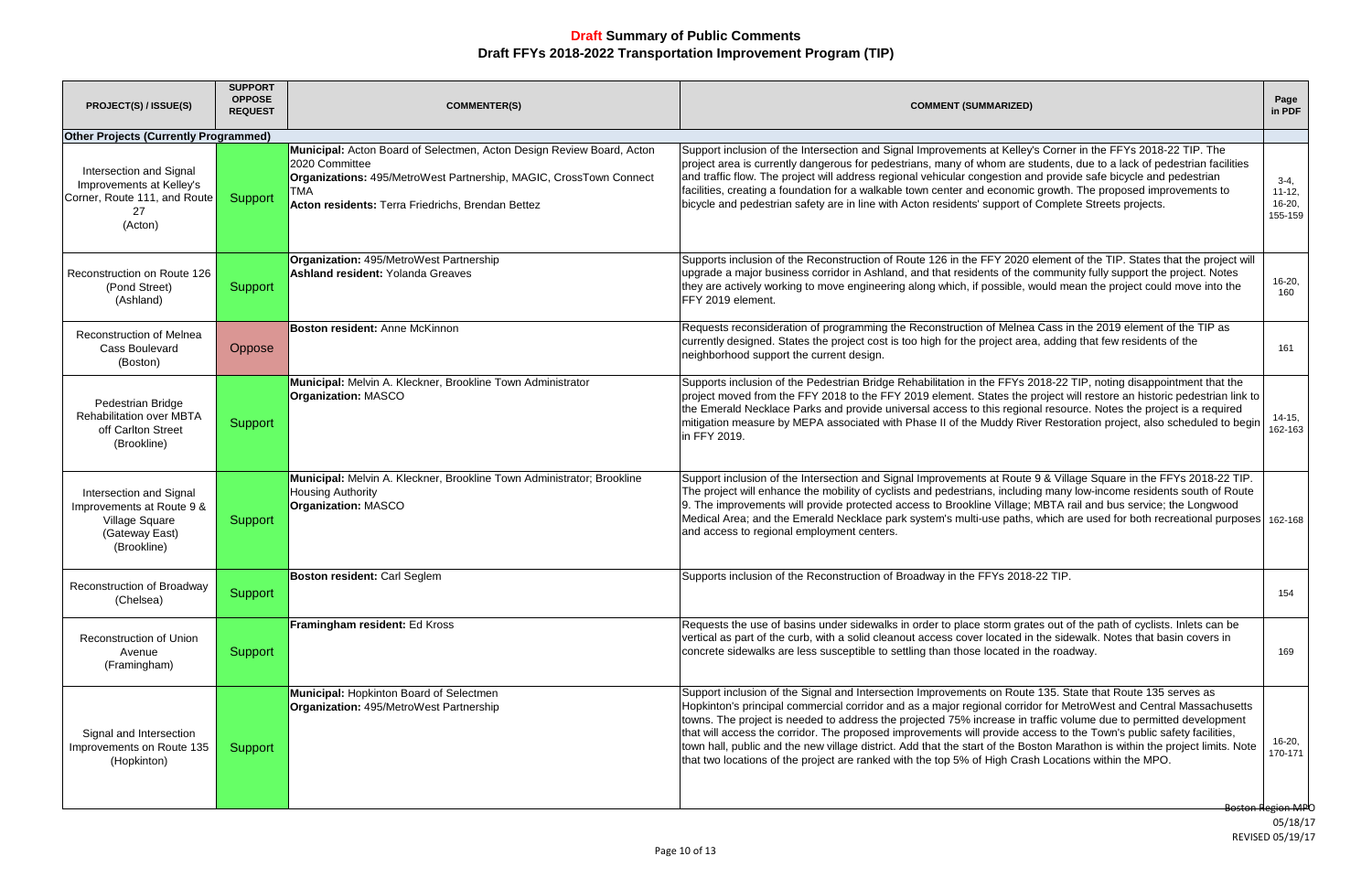| <b>PROJECT(S) / ISSUE(S)</b>                                                                            | <b>SUPPORT</b><br><b>OPPOSE</b><br><b>REQUEST</b> | <b>COMMENTER(S)</b>                                                                                                                                                                                                              | <b>COMMENT (SUMMARIZED)</b>                                                                                                                                                                                                                                                                                                                                                                                                                                                                                                                                                                                                                                                                                           | Page<br>in PDF                                  |
|---------------------------------------------------------------------------------------------------------|---------------------------------------------------|----------------------------------------------------------------------------------------------------------------------------------------------------------------------------------------------------------------------------------|-----------------------------------------------------------------------------------------------------------------------------------------------------------------------------------------------------------------------------------------------------------------------------------------------------------------------------------------------------------------------------------------------------------------------------------------------------------------------------------------------------------------------------------------------------------------------------------------------------------------------------------------------------------------------------------------------------------------------|-------------------------------------------------|
| <b>Other Projects (Currently Programmed)</b>                                                            |                                                   |                                                                                                                                                                                                                                  |                                                                                                                                                                                                                                                                                                                                                                                                                                                                                                                                                                                                                                                                                                                       |                                                 |
| Intersection and Signal<br>Improvements at Kelley's<br>Corner, Route 111, and Route<br>27<br>(Acton)    | Support                                           | Municipal: Acton Board of Selectmen, Acton Design Review Board, Acton<br>2020 Committee<br>Organizations: 495/MetroWest Partnership, MAGIC, CrossTown Connect<br><b>TMA</b><br>Acton residents: Terra Friedrichs, Brendan Bettez | Support inclusion of the Intersection and Signal Improvements at Kelley's Corner in the FFYs 2018-22 TIP. The<br>project area is currently dangerous for pedestrians, many of whom are students, due to a lack of pedestrian facilities<br>and traffic flow. The project will address regional vehicular congestion and provide safe bicycle and pedestrian<br>facilities, creating a foundation for a walkable town center and economic growth. The proposed improvements to<br>bicycle and pedestrian safety are in line with Acton residents' support of Complete Streets projects.                                                                                                                                | $3-4,$<br>$11 - 12$<br>$16-20,$<br>155-159      |
| Reconstruction on Route 126<br>(Pond Street)<br>(Ashland)                                               | Support                                           | Organization: 495/MetroWest Partnership<br><b>Ashland resident: Yolanda Greaves</b>                                                                                                                                              | Supports inclusion of the Reconstruction of Route 126 in the FFY 2020 element of the TIP. States that the project will<br>upgrade a major business corridor in Ashland, and that residents of the community fully support the project. Notes<br>they are actively working to move engineering along which, if possible, would mean the project could move into the<br>FFY 2019 element.                                                                                                                                                                                                                                                                                                                               | $16-20,$<br>160                                 |
| Reconstruction of Melnea<br><b>Cass Boulevard</b><br>(Boston)                                           | Oppose                                            | Boston resident: Anne McKinnon                                                                                                                                                                                                   | Requests reconsideration of programming the Reconstruction of Melnea Cass in the 2019 element of the TIP as<br>currently designed. States the project cost is too high for the project area, adding that few residents of the<br>neighborhood support the current design.                                                                                                                                                                                                                                                                                                                                                                                                                                             | 161                                             |
| Pedestrian Bridge<br>Rehabilitation over MBTA<br>off Carlton Street<br>(Brookline)                      | Support                                           | Municipal: Melvin A. Kleckner, Brookline Town Administrator<br><b>Organization: MASCO</b>                                                                                                                                        | Supports inclusion of the Pedestrian Bridge Rehabilitation in the FFYs 2018-22 TIP, noting disappointment that the<br>project moved from the FFY 2018 to the FFY 2019 element. States the project will restore an historic pedestrian link to<br>the Emerald Necklace Parks and provide universal access to this regional resource. Notes the project is a required<br>mitigation measure by MEPA associated with Phase II of the Muddy River Restoration project, also scheduled to begin<br>in FFY 2019.                                                                                                                                                                                                            | $14-15,$<br>162-163                             |
| Intersection and Signal<br>Improvements at Route 9 &<br>Village Square<br>(Gateway East)<br>(Brookline) | Support                                           | Municipal: Melvin A. Kleckner, Brookline Town Administrator; Brookline<br><b>Housing Authority</b><br><b>Organization: MASCO</b>                                                                                                 | Support inclusion of the Intersection and Signal Improvements at Route 9 & Village Square in the FFYs 2018-22 TIP.<br>The project will enhance the mobility of cyclists and pedestrians, including many low-income residents south of Route<br>9. The improvements will provide protected access to Brookline Village; MBTA rail and bus service; the Longwood<br>Medical Area; and the Emerald Necklace park system's multi-use paths, which are used for both recreational purposes 162-168<br>and access to regional employment centers.                                                                                                                                                                           |                                                 |
| Reconstruction of Broadway<br>(Chelsea)                                                                 | Support                                           | <b>Boston resident: Carl Seglem</b>                                                                                                                                                                                              | Supports inclusion of the Reconstruction of Broadway in the FFYs 2018-22 TIP.                                                                                                                                                                                                                                                                                                                                                                                                                                                                                                                                                                                                                                         | 154                                             |
| <b>Reconstruction of Union</b><br>Avenue<br>(Framingham)                                                | Support                                           | Framingham resident: Ed Kross                                                                                                                                                                                                    | Requests the use of basins under sidewalks in order to place storm grates out of the path of cyclists. Inlets can be<br>vertical as part of the curb, with a solid cleanout access cover located in the sidewalk. Notes that basin covers in<br>concrete sidewalks are less susceptible to settling than those located in the roadway.                                                                                                                                                                                                                                                                                                                                                                                | 169                                             |
| Signal and Intersection<br>Improvements on Route 135<br>(Hopkinton)                                     | Support                                           | <b>Municipal: Hopkinton Board of Selectmen</b><br>Organization: 495/MetroWest Partnership                                                                                                                                        | Support inclusion of the Signal and Intersection Improvements on Route 135. State that Route 135 serves as<br>Hopkinton's principal commercial corridor and as a major regional corridor for MetroWest and Central Massachusetts<br>towns. The project is needed to address the projected 75% increase in traffic volume due to permitted development<br>that will access the corridor. The proposed improvements will provide access to the Town's public safety facilities,<br>town hall, public and the new village district. Add that the start of the Boston Marathon is within the project limits. Note<br>that two locations of the project are ranked with the top 5% of High Crash Locations within the MPO. | $16-20,$<br>170-171<br><b>Boston Region MPO</b> |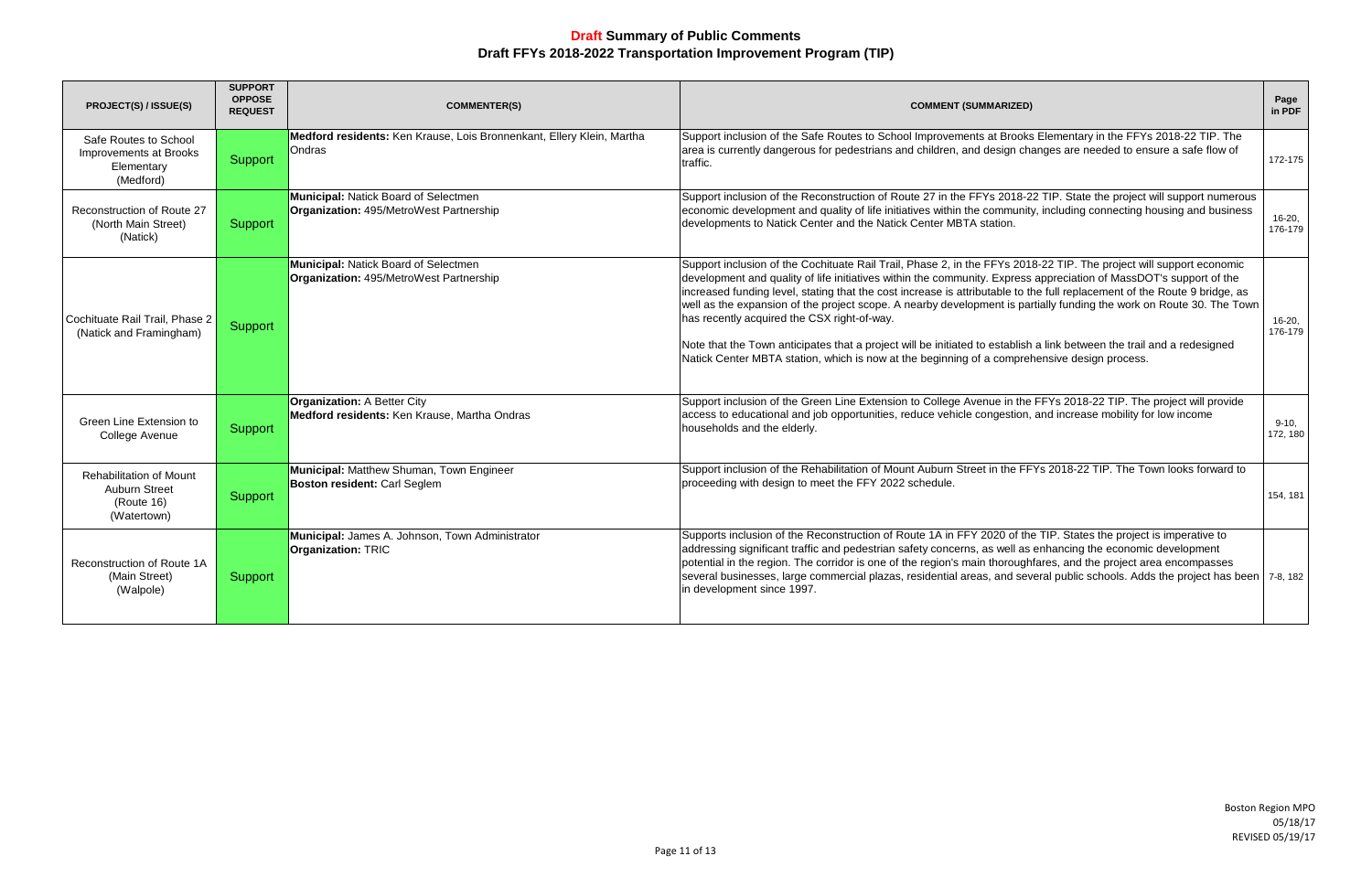| <b>PROJECT(S) / ISSUE(S)</b>                                                        | <b>SUPPORT</b><br><b>OPPOSE</b><br><b>REQUEST</b> | <b>COMMENTER(S)</b>                                                                | <b>COMMENT (SUMMARIZED)</b>                                                                                                                                                                                                                                                                                                                                                                                                                                                                                                                                                                                                                                                                                                                                             | Page<br>in PDF      |
|-------------------------------------------------------------------------------------|---------------------------------------------------|------------------------------------------------------------------------------------|-------------------------------------------------------------------------------------------------------------------------------------------------------------------------------------------------------------------------------------------------------------------------------------------------------------------------------------------------------------------------------------------------------------------------------------------------------------------------------------------------------------------------------------------------------------------------------------------------------------------------------------------------------------------------------------------------------------------------------------------------------------------------|---------------------|
| Safe Routes to School<br>Improvements at Brooks<br>Elementary<br>(Medford)          | Support                                           | Medford residents: Ken Krause, Lois Bronnenkant, Ellery Klein, Martha<br>Ondras    | Support inclusion of the Safe Routes to School Improvements at Brooks Elementary in the FFYs 2018-22 TIP. The<br>area is currently dangerous for pedestrians and children, and design changes are needed to ensure a safe flow of<br>traffic.                                                                                                                                                                                                                                                                                                                                                                                                                                                                                                                           | 172-175             |
| Reconstruction of Route 27<br>(North Main Street)<br>(Natick)                       | Support                                           | Municipal: Natick Board of Selectmen<br>Organization: 495/MetroWest Partnership    | Support inclusion of the Reconstruction of Route 27 in the FFYs 2018-22 TIP. State the project will support numerous<br>economic development and quality of life initiatives within the community, including connecting housing and business<br>developments to Natick Center and the Natick Center MBTA station.                                                                                                                                                                                                                                                                                                                                                                                                                                                       | $16-20,$<br>176-179 |
| Cochituate Rail Trail, Phase 2<br>(Natick and Framingham)                           | Support                                           | Municipal: Natick Board of Selectmen<br>Organization: 495/MetroWest Partnership    | Support inclusion of the Cochituate Rail Trail, Phase 2, in the FFYs 2018-22 TIP. The project will support economic<br>development and quality of life initiatives within the community. Express appreciation of MassDOT's support of the<br>increased funding level, stating that the cost increase is attributable to the full replacement of the Route 9 bridge, as<br>well as the expansion of the project scope. A nearby development is partially funding the work on Route 30. The Town<br>has recently acquired the CSX right-of-way.<br>Note that the Town anticipates that a project will be initiated to establish a link between the trail and a redesigned<br>Natick Center MBTA station, which is now at the beginning of a comprehensive design process. | 16-20.<br>176-179   |
| Green Line Extension to<br>College Avenue                                           | Support                                           | <b>Organization: A Better City</b><br>Medford residents: Ken Krause, Martha Ondras | Support inclusion of the Green Line Extension to College Avenue in the FFYs 2018-22 TIP. The project will provide<br>access to educational and job opportunities, reduce vehicle congestion, and increase mobility for low income<br>households and the elderly.                                                                                                                                                                                                                                                                                                                                                                                                                                                                                                        | $9-10.$<br>172, 180 |
| <b>Rehabilitation of Mount</b><br><b>Auburn Street</b><br>(Route 16)<br>(Watertown) | Support                                           | Municipal: Matthew Shuman, Town Engineer<br><b>Boston resident: Carl Seglem</b>    | Support inclusion of the Rehabilitation of Mount Auburn Street in the FFYs 2018-22 TIP. The Town looks forward to<br>proceeding with design to meet the FFY 2022 schedule.                                                                                                                                                                                                                                                                                                                                                                                                                                                                                                                                                                                              | 154, 181            |
| Reconstruction of Route 1A<br>(Main Street)<br>(Walpole)                            | Support                                           | Municipal: James A. Johnson, Town Administrator<br><b>Organization: TRIC</b>       | Supports inclusion of the Reconstruction of Route 1A in FFY 2020 of the TIP. States the project is imperative to<br>addressing significant traffic and pedestrian safety concerns, as well as enhancing the economic development<br>potential in the region. The corridor is one of the region's main thoroughfares, and the project area encompasses<br>several businesses, large commercial plazas, residential areas, and several public schools. Adds the project has been   7-8, 182<br>in development since 1997.                                                                                                                                                                                                                                                 |                     |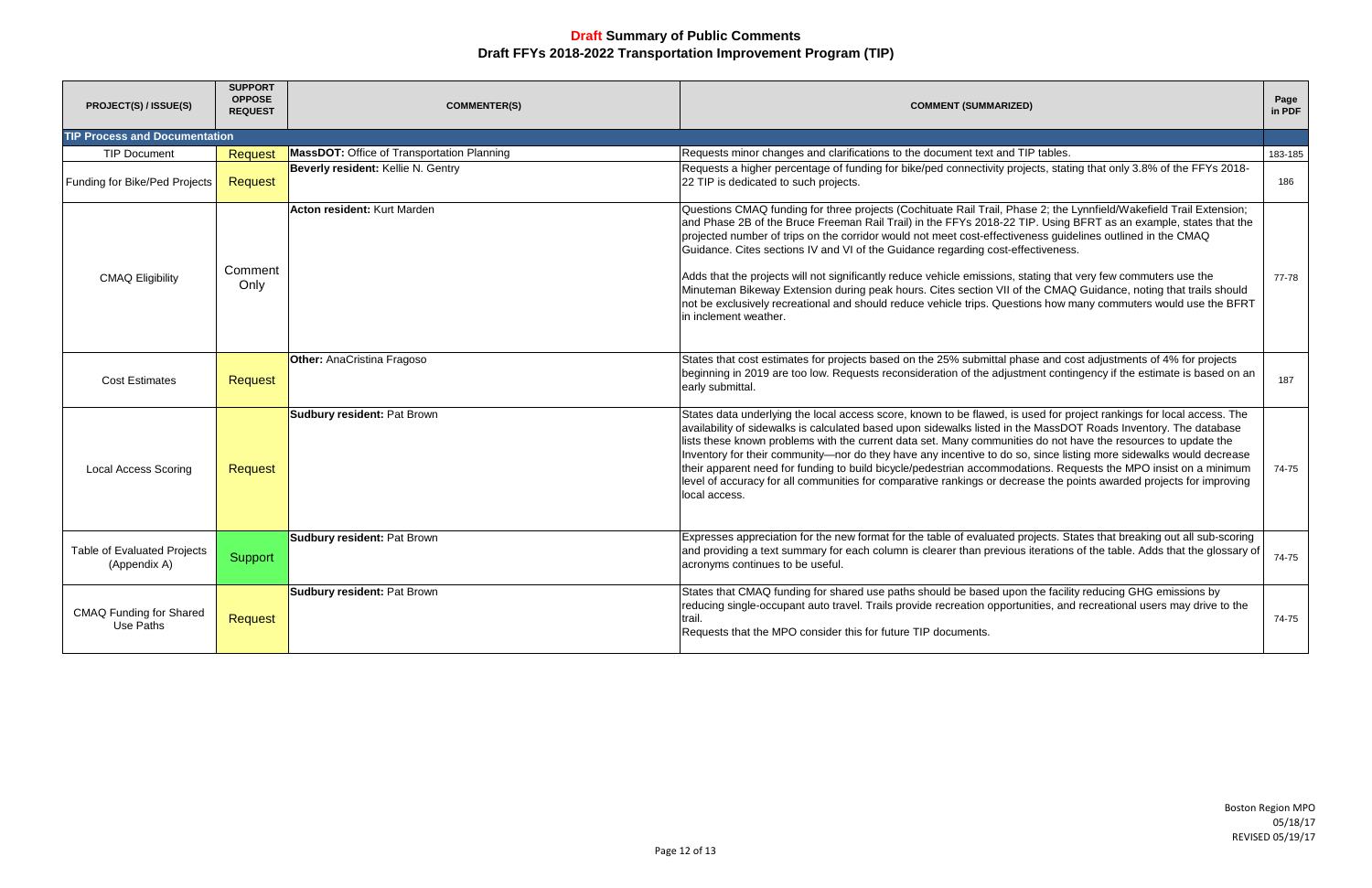| PROJECT(S) / ISSUE(S)                              | <b>SUPPORT</b><br><b>OPPOSE</b><br><b>REQUEST</b> | <b>COMMENTER(S)</b>                        | <b>COMMENT (SUMMARIZED)</b>                                                                                                                                                                                                                                                                                                                                                                                                                                                                                                                                                                                                                                                                                                                                                                                                    | Page<br>in PDF |  |
|----------------------------------------------------|---------------------------------------------------|--------------------------------------------|--------------------------------------------------------------------------------------------------------------------------------------------------------------------------------------------------------------------------------------------------------------------------------------------------------------------------------------------------------------------------------------------------------------------------------------------------------------------------------------------------------------------------------------------------------------------------------------------------------------------------------------------------------------------------------------------------------------------------------------------------------------------------------------------------------------------------------|----------------|--|
| <b>TIP Process and Documentation</b>               |                                                   |                                            |                                                                                                                                                                                                                                                                                                                                                                                                                                                                                                                                                                                                                                                                                                                                                                                                                                |                |  |
| <b>TIP Document</b>                                | <b>Request</b>                                    | MassDOT: Office of Transportation Planning | Requests minor changes and clarifications to the document text and TIP tables.                                                                                                                                                                                                                                                                                                                                                                                                                                                                                                                                                                                                                                                                                                                                                 | 183-185        |  |
| Funding for Bike/Ped Projects                      | <b>Request</b>                                    | Beverly resident: Kellie N. Gentry         | Requests a higher percentage of funding for bike/ped connectivity projects, stating that only 3.8% of the FFYs 2018-<br>22 TIP is dedicated to such projects.                                                                                                                                                                                                                                                                                                                                                                                                                                                                                                                                                                                                                                                                  | 186            |  |
| <b>CMAQ Eligibility</b>                            | Comment<br>Only                                   | Acton resident: Kurt Marden                | Questions CMAQ funding for three projects (Cochituate Rail Trail, Phase 2; the Lynnfield/Wakefield Trail Extension;<br>and Phase 2B of the Bruce Freeman Rail Trail) in the FFYs 2018-22 TIP. Using BFRT as an example, states that the<br>projected number of trips on the corridor would not meet cost-effectiveness guidelines outlined in the CMAQ<br>Guidance. Cites sections IV and VI of the Guidance regarding cost-effectiveness.<br>Adds that the projects will not significantly reduce vehicle emissions, stating that very few commuters use the<br>Minuteman Bikeway Extension during peak hours. Cites section VII of the CMAQ Guidance, noting that trails should<br>not be exclusively recreational and should reduce vehicle trips. Questions how many commuters would use the BFRT<br>in inclement weather. | 77-78          |  |
| <b>Cost Estimates</b>                              | <b>Request</b>                                    | <b>Other: AnaCristina Fragoso</b>          | States that cost estimates for projects based on the 25% submittal phase and cost adjustments of 4% for projects<br>beginning in 2019 are too low. Requests reconsideration of the adjustment contingency if the estimate is based on an<br>early submittal.                                                                                                                                                                                                                                                                                                                                                                                                                                                                                                                                                                   | 187            |  |
| <b>Local Access Scoring</b>                        | <b>Request</b>                                    | <b>Sudbury resident: Pat Brown</b>         | States data underlying the local access score, known to be flawed, is used for project rankings for local access. The<br>availability of sidewalks is calculated based upon sidewalks listed in the MassDOT Roads Inventory. The database<br>lists these known problems with the current data set. Many communities do not have the resources to update the<br>Inventory for their community-nor do they have any incentive to do so, since listing more sidewalks would decrease<br>their apparent need for funding to build bicycle/pedestrian accommodations. Requests the MPO insist on a minimum<br>level of accuracy for all communities for comparative rankings or decrease the points awarded projects for improving<br>local access.                                                                                 | 74-75          |  |
| <b>Table of Evaluated Projects</b><br>(Appendix A) | Support                                           | <b>Sudbury resident: Pat Brown</b>         | Expresses appreciation for the new format for the table of evaluated projects. States that breaking out all sub-scoring<br>and providing a text summary for each column is clearer than previous iterations of the table. Adds that the glossary of<br>acronyms continues to be useful.                                                                                                                                                                                                                                                                                                                                                                                                                                                                                                                                        | 74-75          |  |
| <b>CMAQ Funding for Shared</b><br>Use Paths        | <b>Request</b>                                    | <b>Sudbury resident: Pat Brown</b>         | States that CMAQ funding for shared use paths should be based upon the facility reducing GHG emissions by<br>reducing single-occupant auto travel. Trails provide recreation opportunities, and recreational users may drive to the<br>trail.<br>Requests that the MPO consider this for future TIP documents.                                                                                                                                                                                                                                                                                                                                                                                                                                                                                                                 | 74-75          |  |